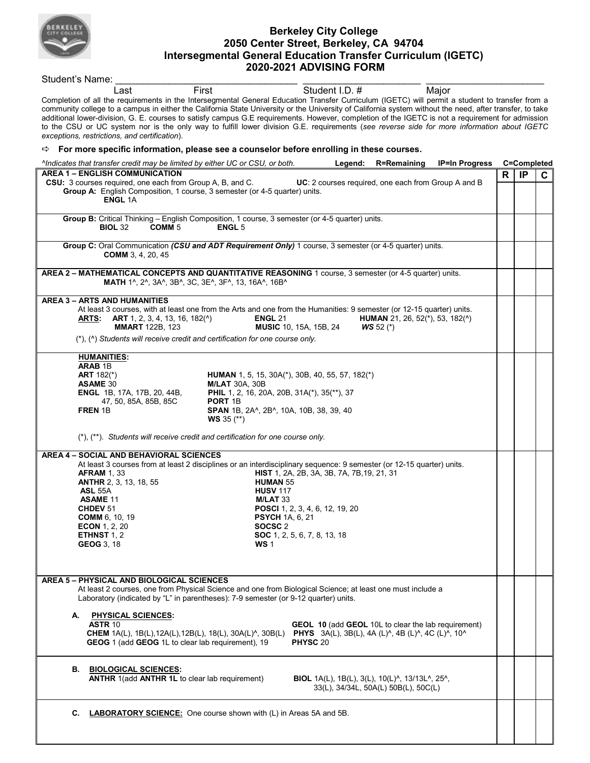

## **Berkeley City College 2050 Center Street, Berkeley, CA 94704 Intersegmental General Education Transfer Curriculum (IGETC) 2020-2021 ADVISING FORM**

| Student's Name:                                                                                                                                                                                                                                                                                                                                                                                                                                                                                                                                                                                                                                                                 |                                                                                                                                                                                       |                                                                      |                       |   |             |   |
|---------------------------------------------------------------------------------------------------------------------------------------------------------------------------------------------------------------------------------------------------------------------------------------------------------------------------------------------------------------------------------------------------------------------------------------------------------------------------------------------------------------------------------------------------------------------------------------------------------------------------------------------------------------------------------|---------------------------------------------------------------------------------------------------------------------------------------------------------------------------------------|----------------------------------------------------------------------|-----------------------|---|-------------|---|
| First<br>Last<br>Completion of all the requirements in the Intersegmental General Education Transfer Curriculum (IGETC) will permit a student to transfer from a<br>community college to a campus in either the California State University or the University of California system without the need, after transfer, to take<br>additional lower-division, G. E. courses to satisfy campus G.E requirements. However, completion of the IGETC is not a requirement for admission<br>to the CSU or UC system nor is the only way to fulfill lower division G.E. requirements (see reverse side for more information about IGETC<br>exceptions, restrictions, and certification). | Student I.D. #                                                                                                                                                                        |                                                                      | Major                 |   |             |   |
| For more specific information, please see a counselor before enrolling in these courses.<br>⇨                                                                                                                                                                                                                                                                                                                                                                                                                                                                                                                                                                                   |                                                                                                                                                                                       |                                                                      |                       |   |             |   |
| ^Indicates that transfer credit may be limited by either UC or CSU, or both.                                                                                                                                                                                                                                                                                                                                                                                                                                                                                                                                                                                                    | Legend:                                                                                                                                                                               | R=Remaining                                                          | <b>IP=In Progress</b> |   | C=Completed |   |
| <b>AREA 1 - ENGLISH COMMUNICATION</b><br>CSU: 3 courses required, one each from Group A, B, and C.<br>Group A: English Composition, 1 course, 3 semester (or 4-5 quarter) units.<br><b>ENGL 1A</b>                                                                                                                                                                                                                                                                                                                                                                                                                                                                              | <b>UC:</b> 2 courses required, one each from Group A and B                                                                                                                            |                                                                      |                       | R | IP          | C |
| Group B: Critical Thinking - English Composition, 1 course, 3 semester (or 4-5 quarter) units.<br><b>BIOL 32</b><br>COMM <sub>5</sub><br><b>ENGL 5</b>                                                                                                                                                                                                                                                                                                                                                                                                                                                                                                                          |                                                                                                                                                                                       |                                                                      |                       |   |             |   |
| Group C: Oral Communication (CSU and ADT Requirement Only) 1 course, 3 semester (or 4-5 quarter) units.<br><b>COMM</b> 3, 4, 20, 45                                                                                                                                                                                                                                                                                                                                                                                                                                                                                                                                             |                                                                                                                                                                                       |                                                                      |                       |   |             |   |
| AREA 2 - MATHEMATICAL CONCEPTS AND QUANTITATIVE REASONING 1 course, 3 semester (or 4-5 quarter) units.<br>MATH 1^, 2^, 3A^, 3B^, 3C, 3E^, 3F^, 13, 16A^, 16B^                                                                                                                                                                                                                                                                                                                                                                                                                                                                                                                   |                                                                                                                                                                                       |                                                                      |                       |   |             |   |
| <b>AREA 3 - ARTS AND HUMANITIES</b><br>At least 3 courses, with at least one from the Arts and one from the Humanities: 9 semester (or 12-15 quarter) units.<br>ART 1, 2, 3, 4, 13, 16, 182(^)<br><b>ENGL 21</b><br>ARTS:<br><b>MMART</b> 122B, 123                                                                                                                                                                                                                                                                                                                                                                                                                             | <b>MUSIC</b> 10, 15A, 15B, 24                                                                                                                                                         | <b>HUMAN</b> 21, 26, 52( $*$ ), 53, 182( $*$ )<br><b>WS</b> 52 $(*)$ |                       |   |             |   |
| (*), (^) Students will receive credit and certification for one course only.                                                                                                                                                                                                                                                                                                                                                                                                                                                                                                                                                                                                    |                                                                                                                                                                                       |                                                                      |                       |   |             |   |
| <b>HUMANITIES:</b><br><b>ARAB 1B</b><br><b>ART</b> 182(*)<br><b>HUMAN</b> 1, 5, 15, 30A(*), 30B, 40, 55, 57, 182(*)<br><b>ASAME 30</b><br><b>M/LAT 30A, 30B</b><br><b>ENGL</b> 1B, 17A, 17B, 20, 44B,<br><b>PHIL</b> 1, 2, 16, 20A, 20B, 31A(*), 35(**), 37<br>PORT 1B<br>47, 50, 85A, 85B, 85C<br>FREN 1B<br>SPAN 1B, 2A^, 2B^, 10A, 10B, 38, 39, 40<br><b>WS</b> 35 $(**)$<br>(*), (**). Students will receive credit and certification for one course only.<br>AREA 4 - SOCIAL AND BEHAVIORAL SCIENCES<br>At least 3 courses from at least 2 disciplines or an interdisciplinary sequence: 9 semester (or 12-15 quarter) units.                                              |                                                                                                                                                                                       |                                                                      |                       |   |             |   |
| <b>AFRAM 1, 33</b><br><b>HUMAN 55</b><br><b>ANTHR</b> 2, 3, 13, 18, 55<br><b>ASL 55A</b><br><b>HUSV 117</b><br><b>ASAME 11</b><br>M/LAT 33<br>CHDEV 51<br><b>COMM 6, 10, 19</b><br><b>PSYCH 1A, 6, 21</b><br><b>ECON</b> 1, 2, 20<br>SOCSC <sub>2</sub><br><b>ETHNST</b> 1, 2<br><b>GEOG</b> 3, 18<br><b>WS</b> 1                                                                                                                                                                                                                                                                                                                                                               | HIST 1, 2A, 2B, 3A, 3B, 7A, 7B, 19, 21, 31<br>POSCI 1, 2, 3, 4, 6, 12, 19, 20<br>SOC 1, 2, 5, 6, 7, 8, 13, 18                                                                         |                                                                      |                       |   |             |   |
| AREA 5 - PHYSICAL AND BIOLOGICAL SCIENCES<br>At least 2 courses, one from Physical Science and one from Biological Science; at least one must include a<br>Laboratory (indicated by "L" in parentheses): 7-9 semester (or 9-12 quarter) units.                                                                                                                                                                                                                                                                                                                                                                                                                                  |                                                                                                                                                                                       |                                                                      |                       |   |             |   |
| А.<br><b>PHYSICAL SCIENCES:</b><br><b>ASTR 10</b><br><b>CHEM</b> $1A(L)$ , $1B(L)$ , $12A(L)$ , $12B(L)$ , $18(L)$ , $30A(L)$ <sup>o</sup> , $30B(L)$<br>GEOG 1 (add GEOG 1L to clear lab requirement), 19                                                                                                                                                                                                                                                                                                                                                                                                                                                                      | <b>GEOL 10 (add GEOL 10L to clear the lab requirement)</b><br><b>PHYS</b> 3A(L), 3B(L), 4A (L) <sup>^</sup> , 4B (L) <sup>^</sup> , 4C (L) <sup>^</sup> , 10 <sup>^</sup><br>PHYSC 20 |                                                                      |                       |   |             |   |
| <b>BIOLOGICAL SCIENCES:</b><br>В.<br><b>ANTHR 1(add ANTHR 1L to clear lab requirement)</b>                                                                                                                                                                                                                                                                                                                                                                                                                                                                                                                                                                                      | <b>BIOL</b> 1A(L), 1B(L), 3(L), 10(L) <sup>^</sup> , 13/13L <sup>^</sup> , 25 <sup>^</sup> ,                                                                                          | 33(L), 34/34L, 50A(L) 50B(L), 50C(L)                                 |                       |   |             |   |
| <b>LABORATORY SCIENCE:</b> One course shown with (L) in Areas 5A and 5B.<br>C.                                                                                                                                                                                                                                                                                                                                                                                                                                                                                                                                                                                                  |                                                                                                                                                                                       |                                                                      |                       |   |             |   |